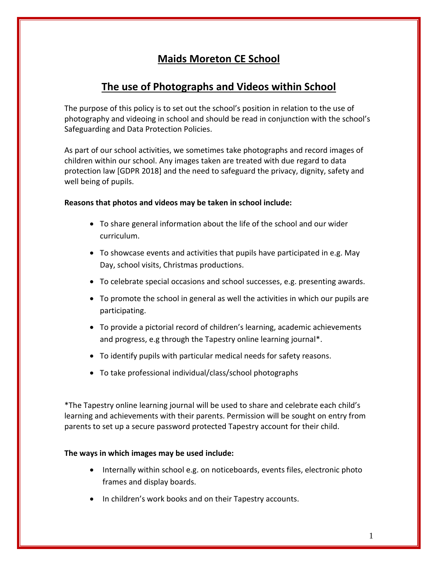# **Maids Moreton CE School**

# **The use of Photographs and Videos within School**

The purpose of this policy is to set out the school's position in relation to the use of photography and videoing in school and should be read in conjunction with the school's Safeguarding and Data Protection Policies.

As part of our school activities, we sometimes take photographs and record images of children within our school. Any images taken are treated with due regard to data protection law [GDPR 2018] and the need to safeguard the privacy, dignity, safety and well being of pupils.

## **Reasons that photos and videos may be taken in school include:**

- To share general information about the life of the school and our wider curriculum.
- To showcase events and activities that pupils have participated in e.g. May Day, school visits, Christmas productions.
- To celebrate special occasions and school successes, e.g. presenting awards.
- To promote the school in general as well the activities in which our pupils are participating.
- To provide a pictorial record of children's learning, academic achievements and progress, e.g through the Tapestry online learning journal\*.
- To identify pupils with particular medical needs for safety reasons.
- To take professional individual/class/school photographs

\*The Tapestry online learning journal will be used to share and celebrate each child's learning and achievements with their parents. Permission will be sought on entry from parents to set up a secure password protected Tapestry account for their child.

## **The ways in which images may be used include:**

- Internally within school e.g. on noticeboards, events files, electronic photo frames and display boards.
- In children's work books and on their Tapestry accounts.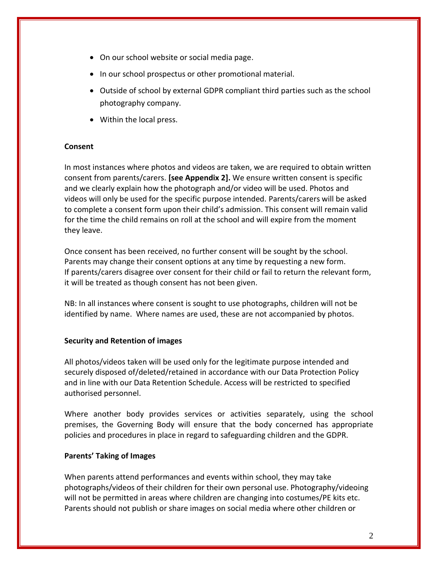- On our school website or social media page.
- In our school prospectus or other promotional material.
- Outside of school by external GDPR compliant third parties such as the school photography company.
- Within the local press.

## **Consent**

In most instances where photos and videos are taken, we are required to obtain written consent from parents/carers. **[see Appendix 2].** We ensure written consent is specific and we clearly explain how the photograph and/or video will be used. Photos and videos will only be used for the specific purpose intended. Parents/carers will be asked to complete a consent form upon their child's admission. This consent will remain valid for the time the child remains on roll at the school and will expire from the moment they leave.

Once consent has been received, no further consent will be sought by the school. Parents may change their consent options at any time by requesting a new form. If parents/carers disagree over consent for their child or fail to return the relevant form, it will be treated as though consent has not been given.

NB: In all instances where consent is sought to use photographs, children will not be identified by name. Where names are used, these are not accompanied by photos.

## **Security and Retention of images**

All photos/videos taken will be used only for the legitimate purpose intended and securely disposed of/deleted/retained in accordance with our Data Protection Policy and in line with our Data Retention Schedule. Access will be restricted to specified authorised personnel.

Where another body provides services or activities separately, using the school premises, the Governing Body will ensure that the body concerned has appropriate policies and procedures in place in regard to safeguarding children and the GDPR.

# **Parents' Taking of Images**

When parents attend performances and events within school, they may take photographs/videos of their children for their own personal use. Photography/videoing will not be permitted in areas where children are changing into costumes/PE kits etc. Parents should not publish or share images on social media where other children or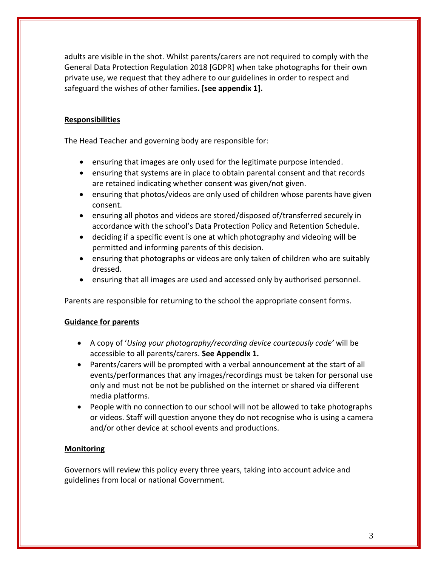adults are visible in the shot. Whilst parents/carers are not required to comply with the General Data Protection Regulation 2018 [GDPR] when take photographs for their own private use, we request that they adhere to our guidelines in order to respect and safeguard the wishes of other families**. [see appendix 1].**

# **Responsibilities**

The Head Teacher and governing body are responsible for:

- ensuring that images are only used for the legitimate purpose intended.
- ensuring that systems are in place to obtain parental consent and that records are retained indicating whether consent was given/not given.
- ensuring that photos/videos are only used of children whose parents have given consent.
- ensuring all photos and videos are stored/disposed of/transferred securely in accordance with the school's Data Protection Policy and Retention Schedule.
- deciding if a specific event is one at which photography and videoing will be permitted and informing parents of this decision.
- ensuring that photographs or videos are only taken of children who are suitably dressed.
- ensuring that all images are used and accessed only by authorised personnel.

Parents are responsible for returning to the school the appropriate consent forms.

# **Guidance for parents**

- A copy of '*Using your photography/recording device courteously code'* will be accessible to all parents/carers. **See Appendix 1.**
- Parents/carers will be prompted with a verbal announcement at the start of all events/performances that any images/recordings must be taken for personal use only and must not be not be published on the internet or shared via different media platforms.
- People with no connection to our school will not be allowed to take photographs or videos. Staff will question anyone they do not recognise who is using a camera and/or other device at school events and productions.

# **Monitoring**

Governors will review this policy every three years, taking into account advice and guidelines from local or national Government.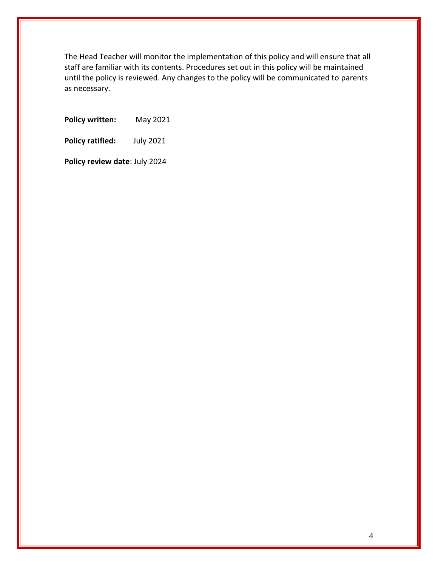The Head Teacher will monitor the implementation of this policy and will ensure that all staff are familiar with its contents. Procedures set out in this policy will be maintained until the policy is reviewed. Any changes to the policy will be communicated to parents as necessary.

**Policy written:** May 2021

**Policy ratified:** July 2021

**Policy review date**: July 2024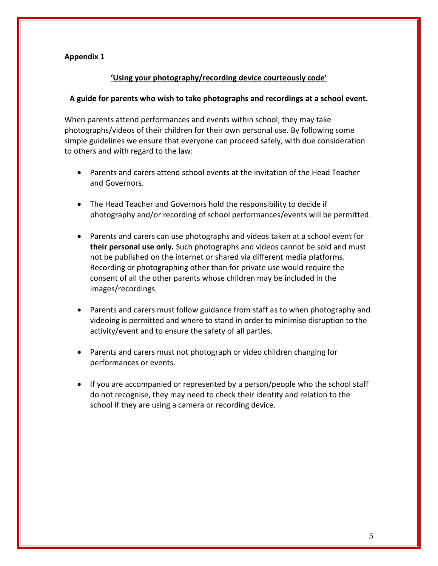## **Appendix 1**

## **'Using your photography/recording device courteously code'**

### **A guide for parents who wish to take photographs and recordings at a school event.**

When parents attend performances and events within school, they may take photographs/videos of their children for their own personal use. By following some simple guidelines we ensure that everyone can proceed safely, with due consideration to others and with regard to the law:

- Parents and carers attend school events at the invitation of the Head Teacher and Governors.
- The Head Teacher and Governors hold the responsibility to decide if photography and/or recording of school performances/events will be permitted.
- Parents and carers can use photographs and videos taken at a school event for **their personal use only.** Such photographs and videos cannot be sold and must not be published on the internet or shared via different media platforms. Recording or photographing other than for private use would require the consent of all the other parents whose children may be included in the images/recordings.
- Parents and carers must follow guidance from staff as to when photography and videoing is permitted and where to stand in order to minimise disruption to the activity/event and to ensure the safety of all parties.
- Parents and carers must not photograph or video children changing for performances or events.
- If you are accompanied or represented by a person/people who the school staff do not recognise, they may need to check their identity and relation to the school if they are using a camera or recording device.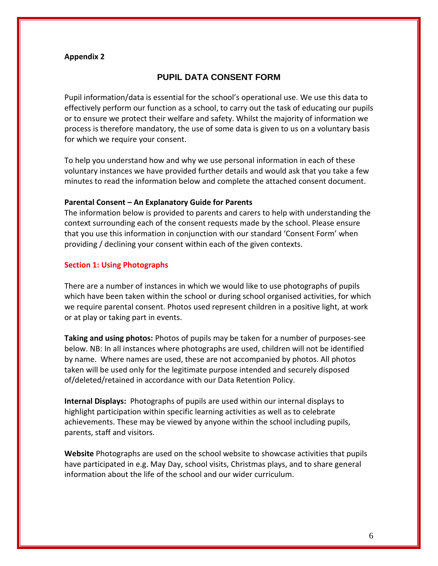#### **Appendix 2**

## **PUPIL DATA CONSENT FORM**

Pupil information/data is essential for the school's operational use. We use this data to effectively perform our function as a school, to carry out the task of educating our pupils or to ensure we protect their welfare and safety. Whilst the majority of information we process is therefore mandatory, the use of some data is given to us on a voluntary basis for which we require your consent.

To help you understand how and why we use personal information in each of these voluntary instances we have provided further details and would ask that you take a few minutes to read the information below and complete the attached consent document.

#### **Parental Consent – An Explanatory Guide for Parents**

The information below is provided to parents and carers to help with understanding the context surrounding each of the consent requests made by the school. Please ensure that you use this information in conjunction with our standard 'Consent Form' when providing / declining your consent within each of the given contexts.

#### **Section 1: Using Photographs**

There are a number of instances in which we would like to use photographs of pupils which have been taken within the school or during school organised activities, for which we require parental consent. Photos used represent children in a positive light, at work or at play or taking part in events.

**Taking and using photos:** Photos of pupils may be taken for a number of purposes-see below. NB: In all instances where photographs are used, children will not be identified by name. Where names are used, these are not accompanied by photos. All photos taken will be used only for the legitimate purpose intended and securely disposed of/deleted/retained in accordance with our Data Retention Policy.

**Internal Displays:** Photographs of pupils are used within our internal displays to highlight participation within specific learning activities as well as to celebrate achievements. These may be viewed by anyone within the school including pupils, parents, staff and visitors.

**Website** Photographs are used on the school website to showcase activities that pupils have participated in e.g. May Day, school visits, Christmas plays, and to share general information about the life of the school and our wider curriculum.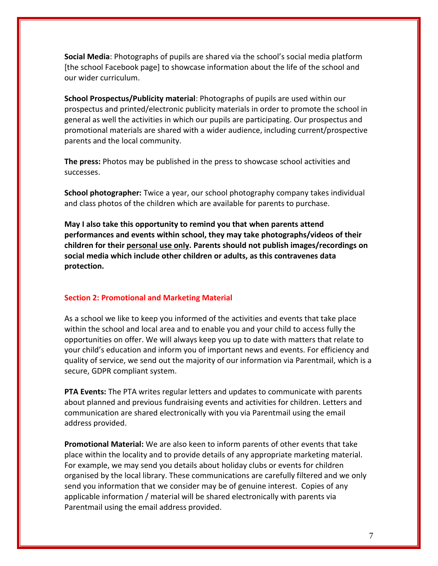**Social Media**: Photographs of pupils are shared via the school's social media platform [the school Facebook page] to showcase information about the life of the school and our wider curriculum.

**School Prospectus/Publicity material**: Photographs of pupils are used within our prospectus and printed/electronic publicity materials in order to promote the school in general as well the activities in which our pupils are participating. Our prospectus and promotional materials are shared with a wider audience, including current/prospective parents and the local community.

**The press:** Photos may be published in the press to showcase school activities and successes.

**School photographer:** Twice a year, our school photography company takes individual and class photos of the children which are available for parents to purchase.

**May I also take this opportunity to remind you that when parents attend performances and events within school, they may take photographs/videos of their children for their personal use only. Parents should not publish images/recordings on social media which include other children or adults, as this contravenes data protection.** 

#### **Section 2: Promotional and Marketing Material**

As a school we like to keep you informed of the activities and events that take place within the school and local area and to enable you and your child to access fully the opportunities on offer. We will always keep you up to date with matters that relate to your child's education and inform you of important news and events. For efficiency and quality of service, we send out the majority of our information via Parentmail, which is a secure, GDPR compliant system.

**PTA Events:** The PTA writes regular letters and updates to communicate with parents about planned and previous fundraising events and activities for children. Letters and communication are shared electronically with you via Parentmail using the email address provided.

**Promotional Material:** We are also keen to inform parents of other events that take place within the locality and to provide details of any appropriate marketing material. For example, we may send you details about holiday clubs or events for children organised by the local library. These communications are carefully filtered and we only send you information that we consider may be of genuine interest. Copies of any applicable information / material will be shared electronically with parents via Parentmail using the email address provided.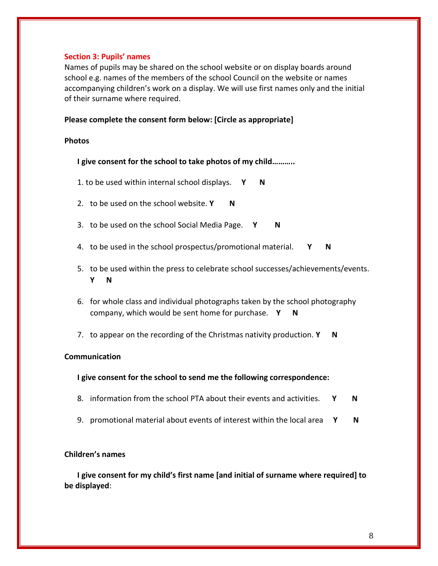### **Section 3: Pupils' names**

Names of pupils may be shared on the school website or on display boards around school e.g. names of the members of the school Council on the website or names accompanying children's work on a display. We will use first names only and the initial of their surname where required.

### **Please complete the consent form below: [Circle as appropriate]**

#### **Photos**

**I give consent for the school to take photos of my child………..**

- 1. to be used within internal school displays. **Y N**
- 2. to be used on the school website. **Y** N
- 3. to be used on the school Social Media Page. **Y N**
- 4. to be used in the school prospectus/promotional material. **Y N**
- 5. to be used within the press to celebrate school successes/achievements/events. **Y N**
- 6. for whole class and individual photographs taken by the school photography company, which would be sent home for purchase. **Y N**
- 7. to appear on the recording of the Christmas nativity production. **Y N**

#### **Communication**

#### **I give consent for the school to send me the following correspondence:**

- 8. information from the school PTA about their events and activities. **Y N**
- 9. promotional material about events of interest within the local area **Y N**

## **Children's names**

**I give consent for my child's first name [and initial of surname where required] to be displayed**: